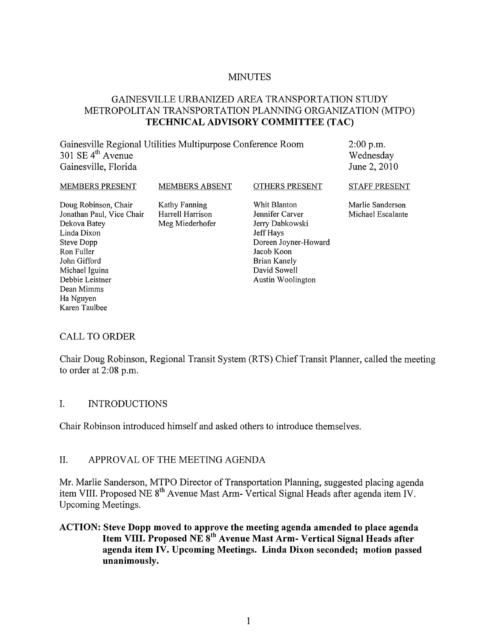#### MINUTES

## GAINESVILLE URBANIZED AREA TRANSPORTATION STUDY METROPOLITAN TRANSPORTATION PLANNING ORGANIZATION (MTPO) **TECHNICAL ADVISORY COMMITTEE (TAC)**

| Gainesville Regional Utilities Multipurpose Conference Room<br>301 SE $4th$ Avenue<br>Gainesville, Florida |                                                      |                                                                                         | $2:00$ p.m.<br>Wednesday<br>June 2, 2010 |
|------------------------------------------------------------------------------------------------------------|------------------------------------------------------|-----------------------------------------------------------------------------------------|------------------------------------------|
| MEMBERS PRESENT                                                                                            | <b>MEMBERS ABSENT</b>                                | OTHERS PRESENT                                                                          | STAFF PRESENT                            |
| Doug Robinson, Chair<br>Jonathan Paul, Vice Chair<br>Dekova Batey<br>Linda Dixon<br>Steve Dopp             | Kathy Fanning<br>Harrell Harrison<br>Meg Miederhofer | Whit Blanton<br>Jennifer Carver<br>Jerry Dabkowski<br>Jeff Hays<br>Doreen Joyner-Howard | Marlie Sanderson<br>Michael Escalante    |
| Ron Fuller                                                                                                 |                                                      | Jacob Koon                                                                              |                                          |
| John Gifford                                                                                               |                                                      | Brian Kanely                                                                            |                                          |
| Michael Iguina                                                                                             |                                                      | David Sowell                                                                            |                                          |
| Debbie Leistner                                                                                            |                                                      | Austin Woolington                                                                       |                                          |

#### CALL TO ORDER

Dean Mimms Ha Nguyen Karen Taulbee

Chair Doug Robinson, Regional Transit System (RTS) Chief Transit Planner, called the meeting to order at 2:08 p.m.

#### I. INTRODUCTIONS

Chair Robinson introduced himself and asked others to introduce themselves.

#### II. APPROVAL OF THE MEETING AGENDA

Mr. Marlie Sanderson, MTPO Director of Transportation Planning, suggested placing agenda item VIII. Proposed NE 8<sup>th</sup> Avenue Mast Arm- Vertical Signal Heads after agenda item IV. Upcoming Meetings.

## **ACTION: Steve Dopp moved to approve the meeting agenda amended to place agenda Item VIII. Proposed NE 8th Avenue Mast Arm- Vertical Signal Heads after agenda item IV. Upcoming Meetings. Linda Dixon seconded; motion passed unanimously.**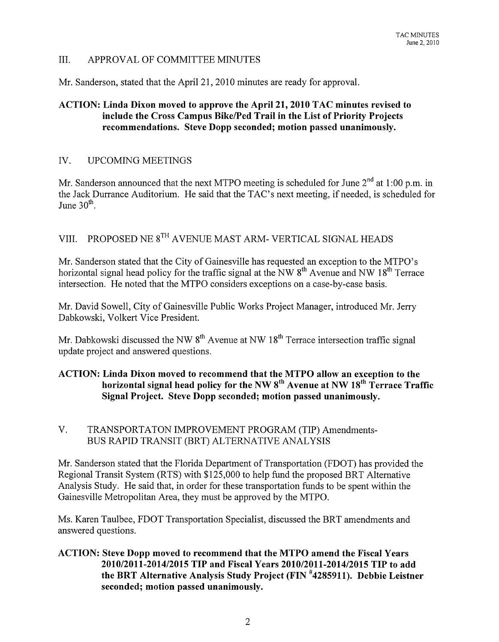#### III. APPROV AL OF COMMITTEE MINUTES

Mr. Sanderson, stated that the April 21, 2010 minutes are ready for approval.

# ACTION: Linda Dixon moved to approve the April 21, 2010 TAC minutes revised to include the Cross Campus BikelPed Trail in the List of Priority Projects recommendations. Steve Dopp seconded; motion passed unanimously.

## IV. UPCOMING MEETINGS

Mr. Sanderson announced that the next MTPO meeting is scheduled for June  $2^{nd}$  at 1:00 p.m. in the Jack Durrance Auditorium. He said that the TAC's next meeting, if needed, is scheduled for June  $30<sup>th</sup>$ .

# VIII. PROPOSED NE 8TH AVENUE MAST ARM- VERTICAL SIGNAL HEADS

Mr. Sanderson stated that the City of Gainesville has requested an exception to the MTPO's horizontal signal head policy for the traffic signal at the NW  $8^{th}$  Avenue and NW  $18^{th}$  Terrace intersection. He noted that the MTPO considers exceptions on a case-by-case basis.

Mr. David Sowell, City of Gainesville Public Works Project Manager, introduced Mr. Jerry Dabkowski, Volkert Vice President.

Mr. Dabkowski discussed the NW  $8<sup>th</sup>$  Avenue at NW  $18<sup>th</sup>$  Terrace intersection traffic signal update project and answered questions.

# ACTION: Linda Dixon moved to recommend that the MTPO allow an exception to the horizontal signal head policy for the NW  $8<sup>th</sup>$  Avenue at NW  $18<sup>th</sup>$  Terrace Traffic Signal Project. Steve Dopp seconded; motion passed unanimously.

# V. TRANSPORTATON IMPROVEMENT PROGRAM (TIP) Amendments-BUS RAPID TRANSIT (BRT) ALTERNATIVE ANALYSIS

Mr. Sanderson stated that the Florida Department of Transportation (FDOT) has provided the Regional Transit System (RTS) with \$125,000 to help fund the proposed BRT Alternative Analysis Study. He said that, in order for these transportation funds to be spent within the Gainesville Metropolitan Area, they must be approved by the MTPO.

Ms. Karen Taulbee, FDOT Transportation Specialist, discussed the BRT amendments and answered questions.

ACTION: Steve Dopp moved to recommend that the MTPO amend the Fiscal Years *2010/2011-2014/2015* TIP and Fiscal Years *2010/2011-2014/2015* TIP to add the BRT Alternative Analysis Study Project (FIN #4285911). Debbie Leistner seconded; motion passed unanimously.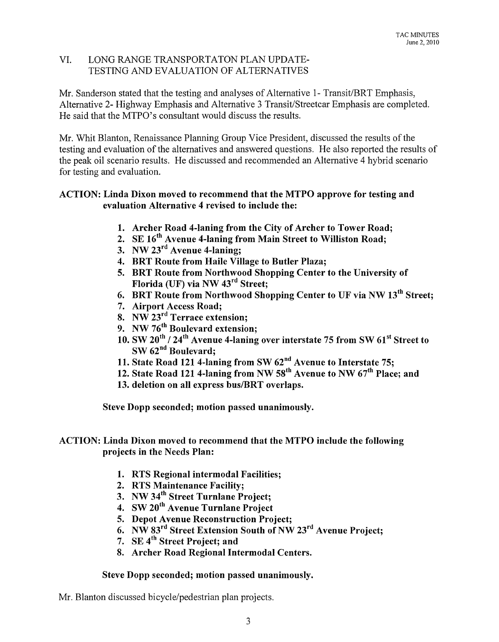#### VI. LONG RANGE TRANSPORTATON PLAN UPDATE-TESTING AND EVALUATION OF ALTERNATIVES

Mr. Sanderson stated that the testing and analyses of Alternative 1- Transit/BRT Emphasis, Alternative 2- Highway Emphasis and Alternative 3 Transit/Streetcar Emphasis are completed. He said that the MTPO's consultant would discuss the results.

Mr. Whit Blanton, Renaissance Planning Group Vice President, discussed the results of the testing and evaluation of the alternatives and answered questions. He also reported the results of the peak oil scenario results. He discussed and recommended an Alternative 4 hybrid scenario for testing and evaluation.

# ACTION: Linda Dixon moved to recommend that the MTPO approve for testing and evaluation Alternative 4 revised to include the:

- 1. Archer Road 4-laning from the City of Archer to Tower Road;
- 2. SE *16th* Avenue 4-laning from Main Street to Williston Road;
- 3. NW 23rd Avenue 4-laning;
- 4. BRT Route from Haile Village to Butler Plaza;
- 5. BRT Route from Northwood Shopping Center to the University of Florida (UF) via NW 43rd Street;
- 6. BRT Route from Northwood Shopping Center to UF via NW  $13^{th}$  Street;
- 7. Airport Access Road;
- 8. NW 23<sup>rd</sup> Terrace extension;
- 9. NW 76<sup>th</sup> Boulevard extension:
- 10. SW  $20^{th}$  /  $24^{th}$  Avenue 4-laning over interstate 75 from SW  $61^{st}$  Street to SW 62<sup>nd</sup> Boulevard;
- 11. State Road 121 4-laning from SW 62<sup>nd</sup> Avenue to Interstate 75;
- 12. State Road 121 4-laning from NW 58th Avenue to NW 67*th* Place; and
- 13. deletion on all express bus/BRT overlaps.

Steve Dopp seconded; motion passed unanimously.

# ACTION: Linda Dixon moved to recommend that the MTPO include the following projects in the Needs Plan:

- 1. RTS Regional intermodal Facilities;
- 2. RTS Maintenance Facility;
- 3. NW *34th* Street Turnlane Project;
- 4. SW 20<sup>th</sup> Avenue Turnlane Project
- 5. Depot Avenue Reconstruction Project;
- 6. NW  $83<sup>rd</sup>$  Street Extension South of NW  $23<sup>rd</sup>$  Avenue Project;
- 7. SE 4<sup>th</sup> Street Project; and
- 8. Archer Road Regional Intermodal Centers.

#### Steve Dopp seconded; motion passed unanimously.

Mr. Blanton discussed bicycle/pedestrian plan projects.